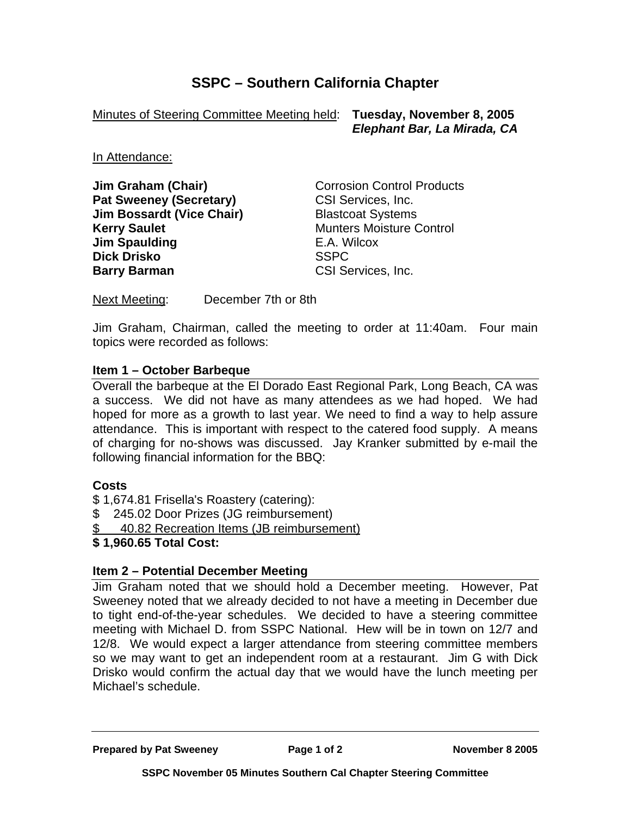# **SSPC – Southern California Chapter**

Minutes of Steering Committee Meeting held: **Tuesday, November 8, 2005**

 *Elephant Bar, La Mirada, CA* 

In Attendance:

**Jim Graham (Chair) Corrosion Control Products Pat Sweeney (Secretary)** CSI Services, Inc. **Jim Bossardt (Vice Chair) Blastcoat Systems Kerry Saulet**  Munters Moisture Control **Jim Spaulding E.A. Wilcox Dick Drisko** SSPC **Barry Barman** CSI Services, Inc.

Next Meeting: December 7th or 8th

Jim Graham, Chairman, called the meeting to order at 11:40am. Four main topics were recorded as follows:

#### **Item 1 – October Barbeque**

Overall the barbeque at the El Dorado East Regional Park, Long Beach, CA was a success. We did not have as many attendees as we had hoped. We had hoped for more as a growth to last year. We need to find a way to help assure attendance. This is important with respect to the catered food supply. A means of charging for no-shows was discussed. Jay Kranker submitted by e-mail the following financial information for the BBQ:

## **Costs**

- \$ 1,674.81 Frisella's Roastery (catering):
- \$ 245.02 Door Prizes (JG reimbursement)
- \$ 40.82 Recreation Items (JB reimbursement)
- **\$ 1,960.65 Total Cost:**

## **Item 2 – Potential December Meeting**

Jim Graham noted that we should hold a December meeting. However, Pat Sweeney noted that we already decided to not have a meeting in December due to tight end-of-the-year schedules. We decided to have a steering committee meeting with Michael D. from SSPC National. Hew will be in town on 12/7 and 12/8. We would expect a larger attendance from steering committee members so we may want to get an independent room at a restaurant. Jim G with Dick Drisko would confirm the actual day that we would have the lunch meeting per Michael's schedule.

**Prepared by Pat Sweeney Page 1 of 2 November 8 2005**